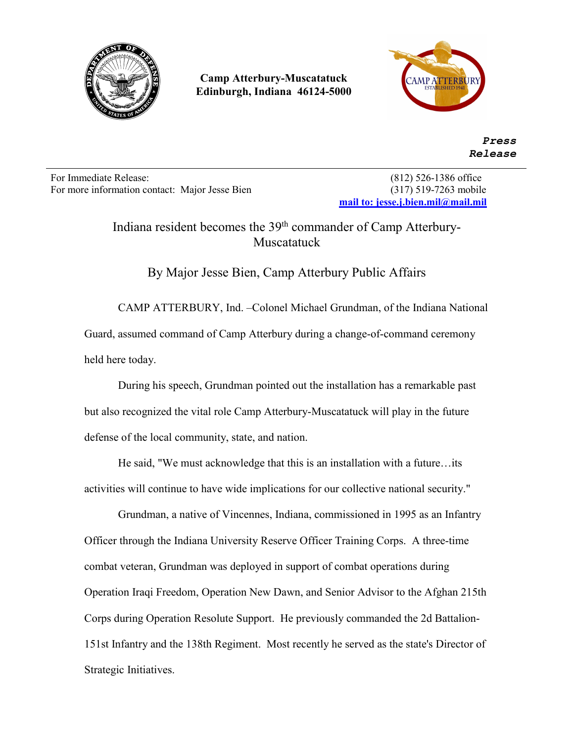

**Camp Atterbury-Muscatatuck Edinburgh, Indiana 46124-5000**



 *Press Release*

For Immediate Release: (812) 526-1386 office For more information contact: Major Jesse Bien (317) 519-7263 mobile

**[mail to: jesse.j.bien.mil@mail.mil](mailto:mail%20to:%20jesse.j.bien.mil@mail.mil)**

Indiana resident becomes the 39<sup>th</sup> commander of Camp Atterbury-Muscatatuck

By Major Jesse Bien, Camp Atterbury Public Affairs

CAMP ATTERBURY, Ind. –Colonel Michael Grundman, of the Indiana National Guard, assumed command of Camp Atterbury during a change-of-command ceremony held here today.

During his speech, Grundman pointed out the installation has a remarkable past but also recognized the vital role Camp Atterbury-Muscatatuck will play in the future defense of the local community, state, and nation.

He said, "We must acknowledge that this is an installation with a future…its activities will continue to have wide implications for our collective national security."

Grundman, a native of Vincennes, Indiana, commissioned in 1995 as an Infantry Officer through the Indiana University Reserve Officer Training Corps. A three-time combat veteran, Grundman was deployed in support of combat operations during Operation Iraqi Freedom, Operation New Dawn, and Senior Advisor to the Afghan 215th Corps during Operation Resolute Support. He previously commanded the 2d Battalion-151st Infantry and the 138th Regiment. Most recently he served as the state's Director of Strategic Initiatives.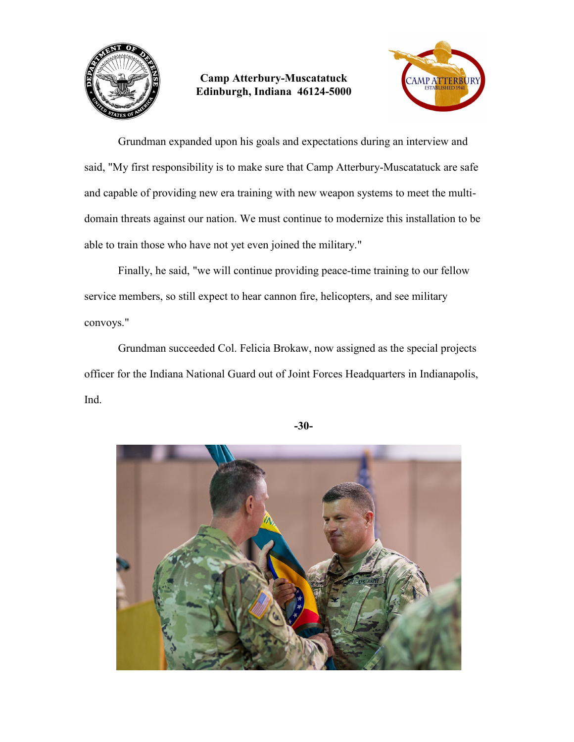



Grundman expanded upon his goals and expectations during an interview and said, "My first responsibility is to make sure that Camp Atterbury-Muscatatuck are safe and capable of providing new era training with new weapon systems to meet the multidomain threats against our nation. We must continue to modernize this installation to be able to train those who have not yet even joined the military."

Finally, he said, "we will continue providing peace-time training to our fellow service members, so still expect to hear cannon fire, helicopters, and see military convoys."

Grundman succeeded Col. Felicia Brokaw, now assigned as the special projects officer for the Indiana National Guard out of Joint Forces Headquarters in Indianapolis, Ind.



**-30-**